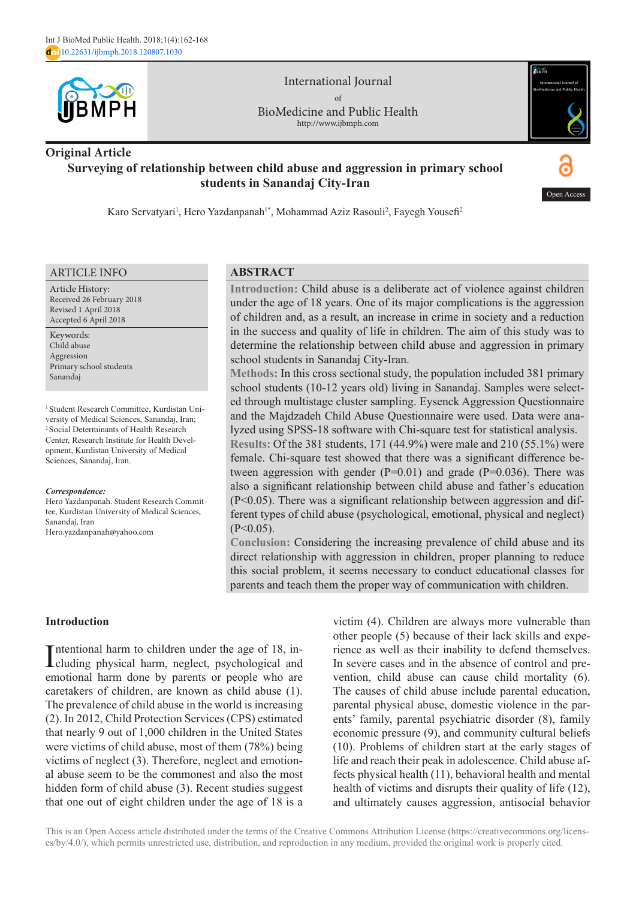

International Journal of BioMedicine and Public Health http://www.ijbmph.com

# **Original Article Surveying of relationship between child abuse and aggression in primary school students in Sanandaj City-Iran**



Open Access

Karo Servatyari<sup>1</sup>, Hero Yazdanpanah<sup>1\*</sup>, Mohammad Aziz Rasouli<sup>2</sup>, Fayegh Yousefi<sup>2</sup>

#### ARTICLE INFO

Article History: Received 26 February 2018 Revised 1 April 2018 Accepted 6 April 2018

Keywords: Child abuse Aggression Primary school students Sanandaj

1 Student Research Committee, Kurdistan University of Medical Sciences, Sanandaj, Iran; 2 Social Determinants of Health Research Center, Research Institute for Health Development, Kurdistan University of Medical Sciences, Sanandaj, Iran.

#### *Correspondence:*

Hero Yazdanpanah. Student Research Committee, Kurdistan University of Medical Sciences, Sanandaj, Iran Hero.yazdanpanah@yahoo.com

### **ABSTRACT**

**Introduction:** Child abuse is a deliberate act of violence against children under the age of 18 years. One of its major complications is the aggression of children and, as a result, an increase in crime in society and a reduction in the success and quality of life in children. The aim of this study was to determine the relationship between child abuse and aggression in primary school students in Sanandaj City-Iran.

**Methods:** In this cross sectional study, the population included 381 primary school students (10-12 years old) living in Sanandaj. Samples were selected through multistage cluster sampling. Eysenck Aggression Questionnaire and the Majdzadeh Child Abuse Questionnaire were used. Data were analyzed using SPSS-18 software with Chi-square test for statistical analysis. **Results:** Of the 381 students, 171 (44.9%) were male and 210 (55.1%) were

female. Chi-square test showed that there was a significant difference between aggression with gender  $(P=0.01)$  and grade  $(P=0.036)$ . There was also a significant relationship between child abuse and father's education (P<0.05). There was a significant relationship between aggression and different types of child abuse (psychological, emotional, physical and neglect)  $(P<0.05)$ .

**Conclusion:** Considering the increasing prevalence of child abuse and its direct relationship with aggression in children, proper planning to reduce this social problem, it seems necessary to conduct educational classes for parents and teach them the proper way of communication with children.

### **Introduction**

Intentional harm to children under the age of 18, in-<br>cluding physical harm, neglect, psychological and Intentional harm to children under the age of 18, inemotional harm done by parents or people who are caretakers of children, are known as child abuse (1). The prevalence of child abuse in the world is increasing (2). In 2012, Child Protection Services (CPS) estimated that nearly 9 out of 1,000 children in the United States were victims of child abuse, most of them (78%) being victims of neglect (3). Therefore, neglect and emotional abuse seem to be the commonest and also the most hidden form of child abuse (3). Recent studies suggest that one out of eight children under the age of 18 is a

victim (4). Children are always more vulnerable than other people (5) because of their lack skills and experience as well as their inability to defend themselves. In severe cases and in the absence of control and prevention, child abuse can cause child mortality (6). The causes of child abuse include parental education, parental physical abuse, domestic violence in the parents' family, parental psychiatric disorder (8), family economic pressure (9), and community cultural beliefs (10). Problems of children start at the early stages of life and reach their peak in adolescence. Child abuse affects physical health (11), behavioral health and mental health of victims and disrupts their quality of life (12), and ultimately causes aggression, antisocial behavior

This is an Open Access article distributed under the terms of the Creative Commons Attribution License (https://creativecommons.org/licenses/by/4.0/), which permits unrestricted use, distribution, and reproduction in any medium, provided the original work is properly cited.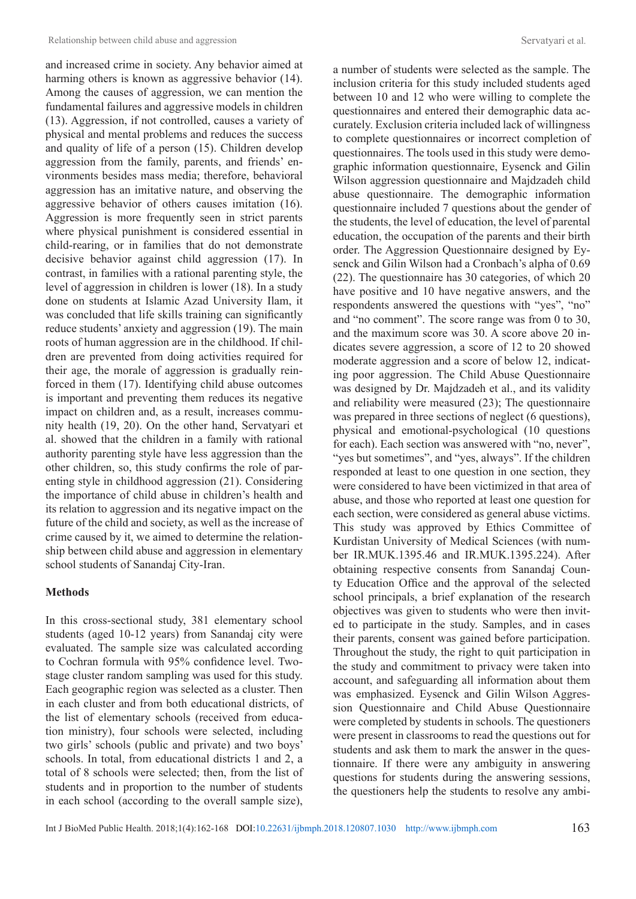and increased crime in society. Any behavior aimed at harming others is known as aggressive behavior (14). Among the causes of aggression, we can mention the fundamental failures and aggressive models in children (13). Aggression, if not controlled, causes a variety of physical and mental problems and reduces the success and quality of life of a person (15). Children develop aggression from the family, parents, and friends' environments besides mass media; therefore, behavioral aggression has an imitative nature, and observing the aggressive behavior of others causes imitation (16). Aggression is more frequently seen in strict parents where physical punishment is considered essential in child-rearing, or in families that do not demonstrate decisive behavior against child aggression (17). In contrast, in families with a rational parenting style, the level of aggression in children is lower (18). In a study done on students at Islamic Azad University Ilam, it was concluded that life skills training can significantly reduce students' anxiety and aggression (19). The main roots of human aggression are in the childhood. If children are prevented from doing activities required for their age, the morale of aggression is gradually reinforced in them (17). Identifying child abuse outcomes is important and preventing them reduces its negative impact on children and, as a result, increases community health (19, 20). On the other hand, Servatyari et al. showed that the children in a family with rational authority parenting style have less aggression than the other children, so, this study confirms the role of parenting style in childhood aggression (21). Considering the importance of child abuse in children's health and its relation to aggression and its negative impact on the future of the child and society, as well as the increase of crime caused by it, we aimed to determine the relationship between child abuse and aggression in elementary school students of Sanandaj City-Iran.

### **Methods**

In this cross-sectional study, 381 elementary school students (aged 10-12 years) from Sanandaj city were evaluated. The sample size was calculated according to Cochran formula with 95% confidence level. Twostage cluster random sampling was used for this study. Each geographic region was selected as a cluster. Then in each cluster and from both educational districts, of the list of elementary schools (received from education ministry), four schools were selected, including two girls' schools (public and private) and two boys' schools. In total, from educational districts 1 and 2, a total of 8 schools were selected; then, from the list of students and in proportion to the number of students in each school (according to the overall sample size), a number of students were selected as the sample. The inclusion criteria for this study included students aged between 10 and 12 who were willing to complete the questionnaires and entered their demographic data accurately. Exclusion criteria included lack of willingness to complete questionnaires or incorrect completion of questionnaires. The tools used in this study were demographic information questionnaire, Eysenck and Gilin Wilson aggression questionnaire and Majdzadeh child abuse questionnaire. The demographic information questionnaire included 7 questions about the gender of the students, the level of education, the level of parental education, the occupation of the parents and their birth order. The Aggression Questionnaire designed by Eysenck and Gilin Wilson had a Cronbach's alpha of 0.69 (22). The questionnaire has 30 categories, of which 20 have positive and 10 have negative answers, and the respondents answered the questions with "yes", "no" and "no comment". The score range was from 0 to 30, and the maximum score was 30. A score above 20 indicates severe aggression, a score of 12 to 20 showed moderate aggression and a score of below 12, indicating poor aggression. The Child Abuse Questionnaire was designed by Dr. Majdzadeh et al., and its validity and reliability were measured (23); The questionnaire was prepared in three sections of neglect (6 questions), physical and emotional-psychological (10 questions for each). Each section was answered with "no, never", "yes but sometimes", and "yes, always". If the children responded at least to one question in one section, they were considered to have been victimized in that area of abuse, and those who reported at least one question for each section, were considered as general abuse victims. This study was approved by Ethics Committee of Kurdistan University of Medical Sciences (with number IR.MUK.1395.46 and IR.MUK.1395.224). After obtaining respective consents from Sanandaj County Education Office and the approval of the selected school principals, a brief explanation of the research objectives was given to students who were then invited to participate in the study. Samples, and in cases their parents, consent was gained before participation. Throughout the study, the right to quit participation in the study and commitment to privacy were taken into account, and safeguarding all information about them was emphasized. Eysenck and Gilin Wilson Aggression Questionnaire and Child Abuse Questionnaire were completed by students in schools. The questioners were present in classrooms to read the questions out for students and ask them to mark the answer in the questionnaire. If there were any ambiguity in answering questions for students during the answering sessions, the questioners help the students to resolve any ambi-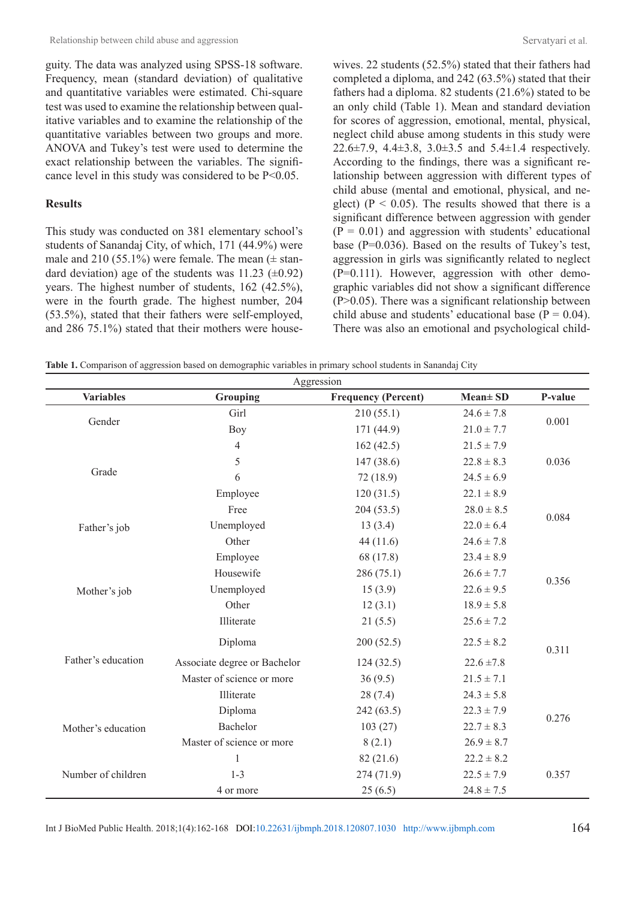guity. The data was analyzed using SPSS-18 software. Frequency, mean (standard deviation) of qualitative and quantitative variables were estimated. Chi-square test was used to examine the relationship between qualitative variables and to examine the relationship of the quantitative variables between two groups and more. ANOVA and Tukey's test were used to determine the exact relationship between the variables. The significance level in this study was considered to be P<0.05.

### **Results**

This study was conducted on 381 elementary school's students of Sanandaj City, of which, 171 (44.9%) were male and 210 (55.1%) were female. The mean  $(\pm \text{ stan}$ dard deviation) age of the students was  $11.23 \ (\pm 0.92)$ years. The highest number of students, 162 (42.5%), were in the fourth grade. The highest number, 204 (53.5%), stated that their fathers were self-employed, and 286 75.1%) stated that their mothers were housewives. 22 students (52.5%) stated that their fathers had completed a diploma, and 242 (63.5%) stated that their fathers had a diploma. 82 students (21.6%) stated to be an only child (Table 1). Mean and standard deviation for scores of aggression, emotional, mental, physical, neglect child abuse among students in this study were 22.6±7.9, 4.4±3.8, 3.0±3.5 and 5.4±1.4 respectively. According to the findings, there was a significant relationship between aggression with different types of child abuse (mental and emotional, physical, and neglect) ( $P < 0.05$ ). The results showed that there is a significant difference between aggression with gender  $(P = 0.01)$  and aggression with students' educational base (P=0.036). Based on the results of Tukey's test, aggression in girls was significantly related to neglect (P=0.111). However, aggression with other demographic variables did not show a significant difference (P>0.05). There was a significant relationship between child abuse and students' educational base ( $P = 0.04$ ). There was also an emotional and psychological child-

**Table 1.** Comparison of aggression based on demographic variables in primary school students in Sanandaj City

| Aggression         |                              |                            |                |         |  |
|--------------------|------------------------------|----------------------------|----------------|---------|--|
| <b>Variables</b>   | Grouping                     | <b>Frequency (Percent)</b> | Mean± SD       | P-value |  |
| Gender             | Girl                         | 210(55.1)                  | $24.6 \pm 7.8$ | 0.001   |  |
|                    | <b>Boy</b>                   | 171 (44.9)                 | $21.0 \pm 7.7$ |         |  |
|                    | $\overline{4}$               | 162(42.5)                  | $21.5 \pm 7.9$ |         |  |
|                    | 5                            | 147 (38.6)                 | $22.8 \pm 8.3$ | 0.036   |  |
| Grade              | 6                            | 72 (18.9)                  | $24.5 \pm 6.9$ |         |  |
|                    | Employee                     | 120(31.5)                  | $22.1 \pm 8.9$ |         |  |
|                    | Free                         | 204(53.5)                  | $28.0 \pm 8.5$ |         |  |
| Father's job       | Unemployed                   | 13(3.4)                    | $22.0 \pm 6.4$ | 0.084   |  |
|                    | Other                        | 44(11.6)                   | $24.6 \pm 7.8$ |         |  |
|                    | Employee                     | 68 (17.8)                  | $23.4 \pm 8.9$ |         |  |
|                    | Housewife                    | 286(75.1)                  | $26.6 \pm 7.7$ | 0.356   |  |
| Mother's job       | Unemployed                   | 15(3.9)                    | $22.6 \pm 9.5$ |         |  |
|                    | Other                        | 12(3.1)                    | $18.9 \pm 5.8$ |         |  |
|                    | Illiterate                   | 21(5.5)                    | $25.6 \pm 7.2$ |         |  |
| Father's education | Diploma                      | 200(52.5)                  | $22.5 \pm 8.2$ | 0.311   |  |
|                    | Associate degree or Bachelor | 124(32.5)                  | $22.6 \pm 7.8$ |         |  |
|                    | Master of science or more    | 36(9.5)                    | $21.5 \pm 7.1$ |         |  |
|                    | Illiterate                   | 28(7.4)                    | $24.3 \pm 5.8$ |         |  |
| Mother's education | Diploma                      | 242(63.5)                  | $22.3 \pm 7.9$ |         |  |
|                    | Bachelor                     | 103(27)                    | $22.7 \pm 8.3$ | 0.276   |  |
|                    | Master of science or more    | 8(2.1)                     | $26.9 \pm 8.7$ |         |  |
|                    | 1                            | 82(21.6)                   | $22.2 \pm 8.2$ |         |  |
| Number of children | $1 - 3$                      | 274(71.9)                  | $22.5 \pm 7.9$ | 0.357   |  |
|                    | 4 or more                    | 25(6.5)                    | $24.8 \pm 7.5$ |         |  |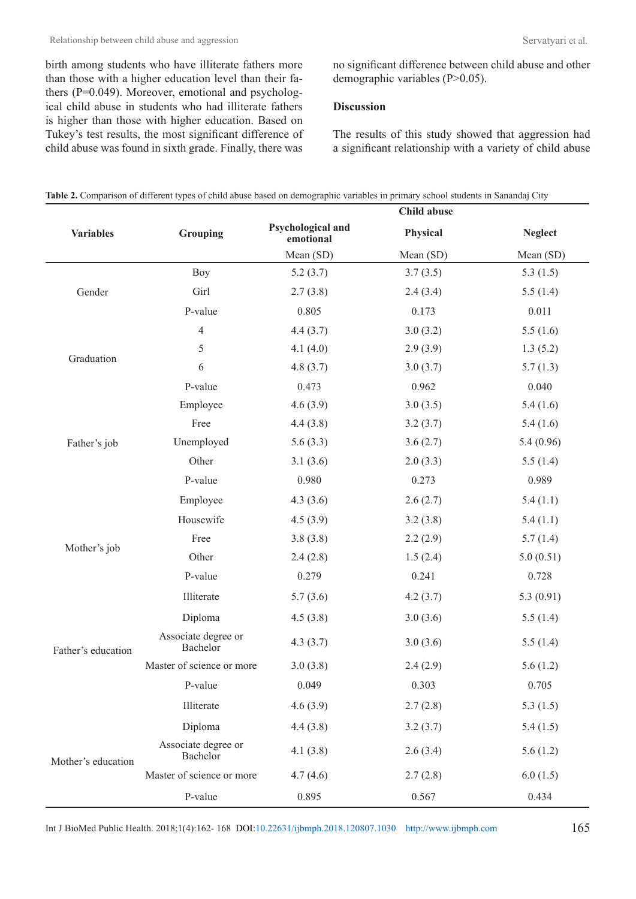birth among students who have illiterate fathers more than those with a higher education level than their fathers (P=0.049). Moreover, emotional and psychological child abuse in students who had illiterate fathers is higher than those with higher education. Based on Tukey's test results, the most significant difference of child abuse was found in sixth grade. Finally, there was no significant difference between child abuse and other demographic variables (P>0.05).

### **Discussion**

The results of this study showed that aggression had a significant relationship with a variety of child abuse

|                    |                                 | Child abuse                    |           |                |
|--------------------|---------------------------------|--------------------------------|-----------|----------------|
| <b>Variables</b>   | Grouping                        | Psychological and<br>emotional | Physical  | <b>Neglect</b> |
|                    |                                 | Mean (SD)                      | Mean (SD) | Mean (SD)      |
|                    | <b>Boy</b>                      | 5.2(3.7)                       | 3.7(3.5)  | 5.3(1.5)       |
| Gender             | Girl                            | 2.7(3.8)                       | 2.4(3.4)  | 5.5(1.4)       |
|                    | P-value                         | 0.805                          | 0.173     | 0.011          |
|                    | $\overline{4}$                  | 4.4(3.7)                       | 3.0(3.2)  | 5.5(1.6)       |
| Graduation         | 5                               | 4.1(4.0)                       | 2.9(3.9)  | 1.3(5.2)       |
|                    | 6                               | 4.8(3.7)                       | 3.0(3.7)  | 5.7(1.3)       |
|                    | P-value                         | 0.473                          | 0.962     | 0.040          |
|                    | Employee                        | 4.6(3.9)                       | 3.0(3.5)  | 5.4(1.6)       |
|                    | Free                            | 4.4(3.8)                       | 3.2(3.7)  | 5.4(1.6)       |
| Father's job       | Unemployed                      | 5.6(3.3)                       | 3.6(2.7)  | 5.4(0.96)      |
|                    | Other                           | 3.1(3.6)                       | 2.0(3.3)  | 5.5(1.4)       |
|                    | P-value                         | 0.980                          | 0.273     | 0.989          |
|                    | Employee                        | 4.3(3.6)                       | 2.6(2.7)  | 5.4(1.1)       |
|                    | Housewife                       | 4.5(3.9)                       | 3.2(3.8)  | 5.4(1.1)       |
|                    | Free                            | 3.8(3.8)                       | 2.2(2.9)  | 5.7(1.4)       |
| Mother's job       | Other                           | 2.4(2.8)                       | 1.5(2.4)  | 5.0(0.51)      |
|                    | P-value                         | 0.279                          | 0.241     | 0.728          |
|                    | Illiterate                      | 5.7(3.6)                       | 4.2(3.7)  | 5.3(0.91)      |
|                    | Diploma                         | 4.5(3.8)                       | 3.0(3.6)  | 5.5(1.4)       |
| Father's education | Associate degree or<br>Bachelor | 4.3(3.7)                       | 3.0(3.6)  | 5.5(1.4)       |
|                    | Master of science or more       | 3.0(3.8)                       | 2.4(2.9)  | 5.6(1.2)       |
|                    | P-value                         | 0.049                          | 0.303     | 0.705          |
|                    | Illiterate                      | 4.6(3.9)                       | 2.7(2.8)  | 5.3(1.5)       |
| Mother's education | Diploma                         | 4.4(3.8)                       | 3.2(3.7)  | 5.4(1.5)       |
|                    | Associate degree or<br>Bachelor | 4.1(3.8)                       | 2.6(3.4)  | 5.6(1.2)       |
|                    | Master of science or more       | 4.7(4.6)                       | 2.7(2.8)  | 6.0(1.5)       |
|                    | P-value                         | 0.895                          | 0.567     | 0.434          |

**Table 2.** Comparison of different types of child abuse based on demographic variables in primary school students in Sanandaj City

Int J BioMed Public Health. 2018;1(4):162- 168 DOI[:10.22631/ijbmph.2018.120807.1030](http://dx.doi.org/10.22631/ijbmph.2018.120807.1030) <http://www.ijbmph.com>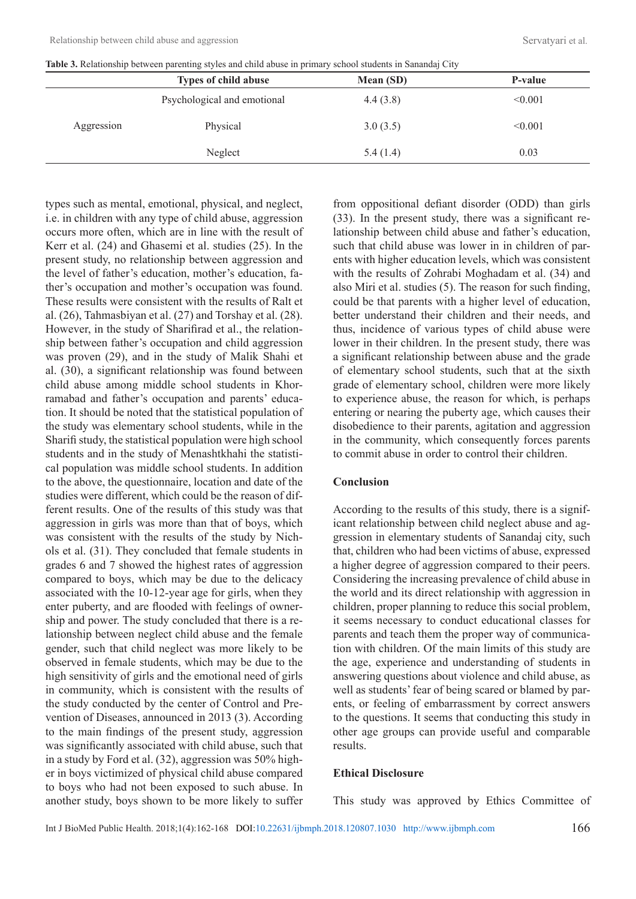| Table 3. Relationship between parenting styles and child abuse in primary school students in Sanandaj City |  |  |  |  |
|------------------------------------------------------------------------------------------------------------|--|--|--|--|
|------------------------------------------------------------------------------------------------------------|--|--|--|--|

|            | <b>Types of child abuse</b> | Mean (SD) | P-value |
|------------|-----------------------------|-----------|---------|
|            | Psychological and emotional | 4.4(3.8)  | < 0.001 |
| Aggression | Physical                    | 3.0(3.5)  | < 0.001 |
|            | Neglect                     | 5.4(1.4)  | 0.03    |
|            |                             |           |         |

types such as mental, emotional, physical, and neglect, i.e. in children with any type of child abuse, aggression occurs more often, which are in line with the result of Kerr et al. (24) and Ghasemi et al. studies (25). In the present study, no relationship between aggression and the level of father's education, mother's education, father's occupation and mother's occupation was found. These results were consistent with the results of Ralt et al. (26), Tahmasbiyan et al. (27) and Torshay et al. (28). However, in the study of Sharifirad et al., the relationship between father's occupation and child aggression was proven (29), and in the study of Malik Shahi et al. (30), a significant relationship was found between child abuse among middle school students in Khorramabad and father's occupation and parents' education. It should be noted that the statistical population of the study was elementary school students, while in the Sharifi study, the statistical population were high school students and in the study of Menashtkhahi the statistical population was middle school students. In addition to the above, the questionnaire, location and date of the studies were different, which could be the reason of different results. One of the results of this study was that aggression in girls was more than that of boys, which was consistent with the results of the study by Nichols et al. (31). They concluded that female students in grades 6 and 7 showed the highest rates of aggression compared to boys, which may be due to the delicacy associated with the 10-12-year age for girls, when they enter puberty, and are flooded with feelings of ownership and power. The study concluded that there is a relationship between neglect child abuse and the female gender, such that child neglect was more likely to be observed in female students, which may be due to the high sensitivity of girls and the emotional need of girls in community, which is consistent with the results of the study conducted by the center of Control and Prevention of Diseases, announced in 2013 (3). According to the main findings of the present study, aggression was significantly associated with child abuse, such that in a study by Ford et al. (32), aggression was 50% higher in boys victimized of physical child abuse compared to boys who had not been exposed to such abuse. In another study, boys shown to be more likely to suffer from oppositional defiant disorder (ODD) than girls (33). In the present study, there was a significant relationship between child abuse and father's education, such that child abuse was lower in in children of parents with higher education levels, which was consistent with the results of Zohrabi Moghadam et al. (34) and also Miri et al. studies (5). The reason for such finding, could be that parents with a higher level of education, better understand their children and their needs, and thus, incidence of various types of child abuse were lower in their children. In the present study, there was a significant relationship between abuse and the grade of elementary school students, such that at the sixth grade of elementary school, children were more likely to experience abuse, the reason for which, is perhaps entering or nearing the puberty age, which causes their disobedience to their parents, agitation and aggression in the community, which consequently forces parents to commit abuse in order to control their children.

#### **Conclusion**

According to the results of this study, there is a significant relationship between child neglect abuse and aggression in elementary students of Sanandaj city, such that, children who had been victims of abuse, expressed a higher degree of aggression compared to their peers. Considering the increasing prevalence of child abuse in the world and its direct relationship with aggression in children, proper planning to reduce this social problem, it seems necessary to conduct educational classes for parents and teach them the proper way of communication with children. Of the main limits of this study are the age, experience and understanding of students in answering questions about violence and child abuse, as well as students' fear of being scared or blamed by parents, or feeling of embarrassment by correct answers to the questions. It seems that conducting this study in other age groups can provide useful and comparable results.

### **Ethical Disclosure**

This study was approved by Ethics Committee of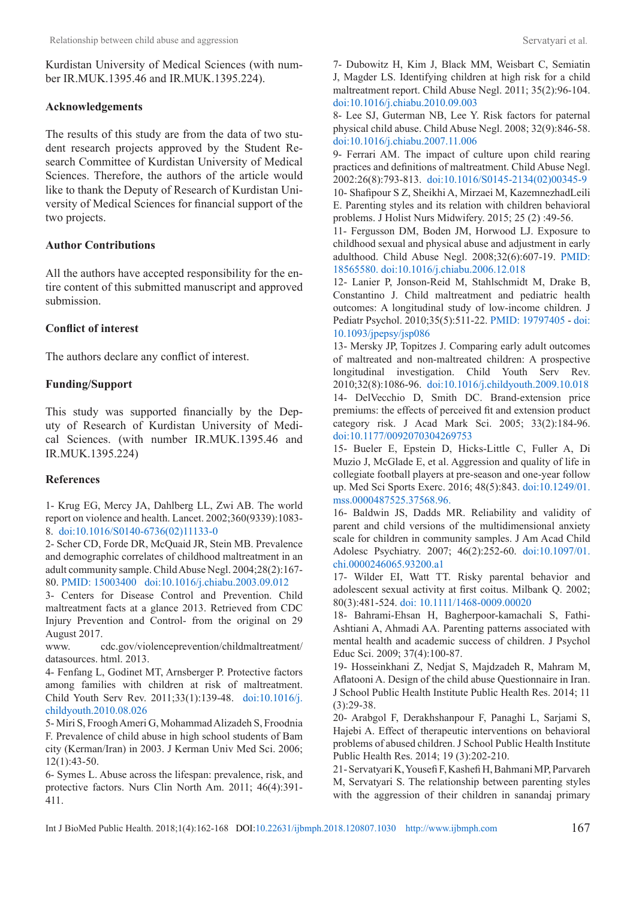Kurdistan University of Medical Sciences (with number IR.MUK.1395.46 and IR.MUK.1395.224).

### **Acknowledgements**

The results of this study are from the data of two student research projects approved by the Student Research Committee of Kurdistan University of Medical Sciences. Therefore, the authors of the article would like to thank the Deputy of Research of Kurdistan University of Medical Sciences for financial support of the two projects.

# **Author Contributions**

All the authors have accepted responsibility for the entire content of this submitted manuscript and approved submission.

# **Conflict of interest**

The authors declare any conflict of interest.

# **Funding/Support**

This study was supported financially by the Deputy of Research of Kurdistan University of Medical Sciences. (with number IR.MUK.1395.46 and IR.MUK.1395.224)

# **References**

1- Krug EG, Mercy JA, Dahlberg LL, Zwi AB. The world report on violence and health. Lancet. 2002;360(9339):1083- 8. [doi:10.1016/S0140-6736\(02\)11133-0](http://dx.doi.org/10.1016/S0140-6736(02)11133-0)

2- Scher CD, Forde DR, McQuaid JR, Stein MB. Prevalence and demographic correlates of childhood maltreatment in an adult community sample. Child Abuse Negl. 2004;28(2):167- 80. [PMID: 15003400](https://www.ncbi.nlm.nih.gov/pubmed/15003400
) [doi:10.1016/j.chiabu.2003.09.012](http://dx.doi.org/10.1016/j.chiabu.2003.09.012)

3- Centers for Disease Control and Prevention. Child maltreatment facts at a glance 2013. Retrieved from CDC Injury Prevention and Control- from the original on 29 August 2017.

www. cdc.gov/violenceprevention/childmaltreatment/ datasources. html. 2013.

4- Fenfang L, Godinet MT, Arnsberger P. Protective factors among families with children at risk of maltreatment. Child Youth Serv Rev. 2011;33(1):139-48. [doi:10.1016/j.](http://dx.doi.org/10.1016/j.childyouth.2010.08.026 ) [childyouth.2010.08.026](http://dx.doi.org/10.1016/j.childyouth.2010.08.026 )

5- Miri S, Froogh Ameri G, Mohammad Alizadeh S, Froodnia F. Prevalence of child abuse in high school students of Bam city (Kerman/Iran) in 2003. J Kerman Univ Med Sci. 2006; 12(1):43-50.

6- Symes L. Abuse across the lifespan: prevalence, risk, and protective factors. Nurs Clin North Am. 2011; 46(4):391- 411.

7- Dubowitz H, Kim J, Black MM, Weisbart C, Semiatin J, Magder LS. Identifying children at high risk for a child maltreatment report. Child Abuse Negl. 2011; 35(2):96-104. [doi:10.1016/j.chiabu.2010.09.003](http://dx.doi.org/10.1016/j.chiabu.2010.09.003)

8- Lee SJ, Guterman NB, Lee Y. Risk factors for paternal physical child abuse. Child Abuse Negl. 2008; 32(9):846-58. [doi:10.1016/j.chiabu.2007.11.006](http://dx.doi.org/10.1016/j.chiabu.2007.11.006)

9- Ferrari AM. The impact of culture upon child rearing practices and definitions of maltreatment. Child Abuse Negl. 2002:26(8):793-813. [doi:10.1016/S0145-2134\(02\)00345-9](http://dx.doi.org/10.1016/S0145-2134(02)00345-9) 10- Shafipour S Z, Sheikhi A, Mirzaei M, KazemnezhadLeili

E. Parenting styles and its relation with children behavioral problems. J Holist Nurs Midwifery. 2015; 25 (2) :49-56.

11- Fergusson DM, Boden JM, Horwood LJ. Exposure to childhood sexual and physical abuse and adjustment in early adulthood. Child Abuse Negl. 2008;32(6):607-19. [PMID:](https://www.ncbi.nlm.nih.gov/CBBresearch/Lu/Demo/PubTator/curator_mention.cgi?user=bc5cdr&pmid=18565580&searchtype=PubMed_Search&query=9793723[relatedto]&page=4&Chemical_display=1&Disease_display=1&tax=)  [18565580.](https://www.ncbi.nlm.nih.gov/CBBresearch/Lu/Demo/PubTator/curator_mention.cgi?user=bc5cdr&pmid=18565580&searchtype=PubMed_Search&query=9793723[relatedto]&page=4&Chemical_display=1&Disease_display=1&tax=) [doi:10.1016/j.chiabu.2006.12.018](http://dx.doi.org/10.1016/j.chiabu.2006.12.018)

12- Lanier P, Jonson-Reid M, Stahlschmidt M, Drake B, Constantino J. Child maltreatment and pediatric health outcomes: A longitudinal study of low-income children. J Pediatr Psychol. 2010;35(5):511-22. [PMID: 19797405](https://www.ncbi.nlm.nih.gov/m/pubmed/19797405) - [doi:](http://dx.doi.org/10.1093/jpepsy/jsp086)  [10.1093/jpepsy/jsp086](http://dx.doi.org/10.1093/jpepsy/jsp086)

13- Mersky JP, Topitzes J. Comparing early adult outcomes of maltreated and non-maltreated children: A prospective longitudinal investigation. Child Youth Serv Rev. 2010;32(8):1086-96. [doi:10.1016/j.childyouth.2009.10.018](http://dx.doi.org/10.1016/j.childyouth.2009.10.018 ) 14- DelVecchio D, Smith DC. Brand-extension price premiums: the effects of perceived fit and extension product category risk. J Acad Mark Sci. 2005; 33(2):184-96. [doi:10.1177/0092070304269753](http://dx.doi.org/10.1177/0092070304269753)

15- Bueler E, Epstein D, Hicks-Little C, Fuller A, Di Muzio J, McGlade E, et al. Aggression and quality of life in collegiate football players at pre-season and one-year follow up. Med Sci Sports Exerc. 2016; 48(5):843. [doi:10.1249/01.](http://dx.doi.org/10.1249/01.mss.0000487525.37568.96.) [mss.0000487525.37568.96.](http://dx.doi.org/10.1249/01.mss.0000487525.37568.96.)

16- Baldwin JS, Dadds MR. Reliability and validity of parent and child versions of the multidimensional anxiety scale for children in community samples. J Am Acad Child Adolesc Psychiatry. 2007; 46(2):252-60. [doi:10.1097/01.](http://dx.doi.org/10.1097/01.chi.0000246065.93200.a1) [chi.0000246065.93200.a1](http://dx.doi.org/10.1097/01.chi.0000246065.93200.a1)

17- Wilder EI, Watt TT. Risky parental behavior and adolescent sexual activity at first coitus. Milbank Q. 2002; 80(3):481-524[. doi: 10.1111/1468-0009.00020](http://dx.doi.org/10.1111/1468-0009.00020)

18- Bahrami-Ehsan H, Bagherpoor-kamachali S, Fathi-Ashtiani A, Ahmadi AA. Parenting patterns associated with mental health and academic success of children. J Psychol Educ Sci. 2009; 37(4):100-87.

19- Hosseinkhani Z, Nedjat S, Majdzadeh R, Mahram M, Aflatooni A. Design of the child abuse Questionnaire in Iran. J School Public Health Institute Public Health Res. 2014; 11 (3):29-38.

20- Arabgol F, Derakhshanpour F, Panaghi L, Sarjami S, Hajebi A. Effect of therapeutic interventions on behavioral problems of abused children. J School Public Health Institute Public Health Res. 2014; 19 (3):202-210.

21- Servatyari K, Yousefi F, Kashefi H, Bahmani MP, Parvareh M, Servatyari S. The relationship between parenting styles with the aggression of their children in sanandaj primary